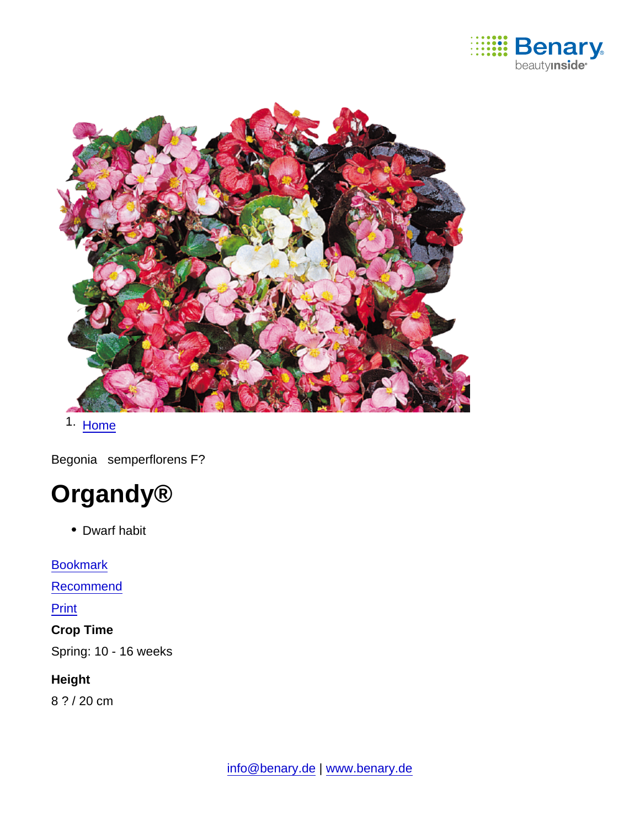

1. [Home](https://www.benary.com/)

Begonia semperflorens F?



• Dwarf habit

**[Bookmark](https://www.benary.com/flag/flag/product/5628?destination&token=MZwzeYv_-OB5U9JtsMZor7Vqr-O09VLvRLvzvNwW22w)** [Recommend](mailto:?subject=Benary Begonia semperflorens F₁ &body=https://www.benary.com/print/pdf/node/5628) Print Crop Time Spring: 10 - 16 weeks

Height

8 ? / 20 cm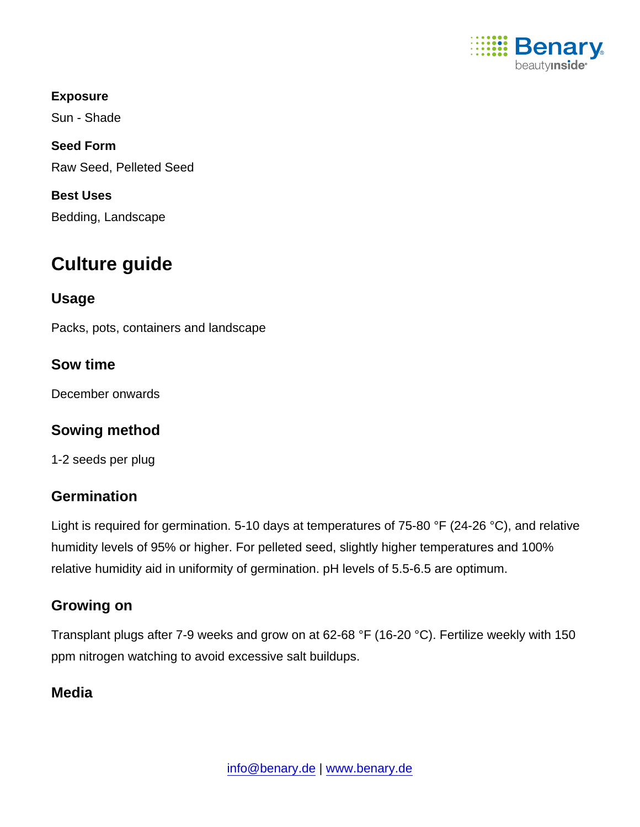

Exposure Sun - Shade Seed Form Raw Seed, Pelleted Seed Best Uses Bedding, Landscape

# Culture guide

Usage

Packs, pots, containers and landscape

Sow time

December onwards

Sowing method

1-2 seeds per plug

# **Germination**

Light is required for germination. 5-10 days at temperatures of 75-80 °F (24-26 °C), and relative humidity levels of 95% or higher. For pelleted seed, slightly higher temperatures and 100% relative humidity aid in uniformity of germination. pH levels of 5.5-6.5 are optimum.

# Growing on

Transplant plugs after 7-9 weeks and grow on at 62-68 °F (16-20 °C). Fertilize weekly with 150 ppm nitrogen watching to avoid excessive salt buildups.

# Media